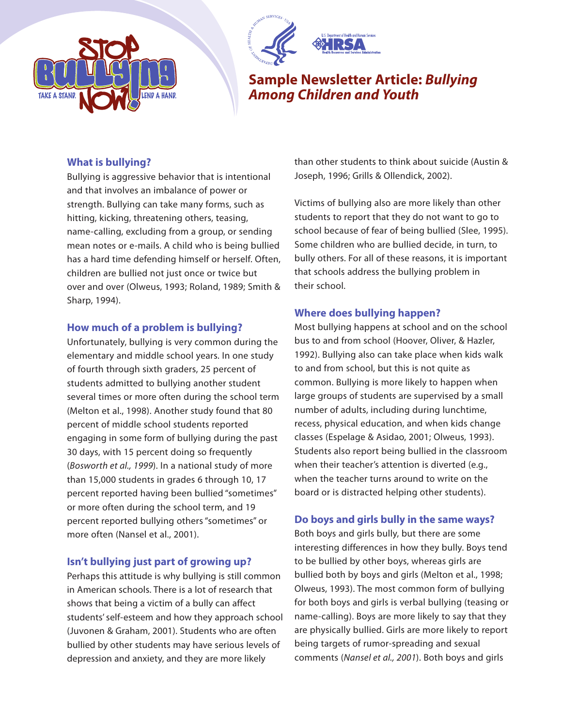



**Sample Newsletter Article: Bullying Among Children and Youth**

## **What is bullying?**

Bullying is aggressive behavior that is intentional and that involves an imbalance of power or strength. Bullying can take many forms, such as hitting, kicking, threatening others, teasing, name-calling, excluding from a group, or sending mean notes or e-mails. A child who is being bullied has a hard time defending himself or herself. Often, children are bullied not just once or twice but over and over (Olweus, 1993; Roland, 1989; Smith & Sharp, 1994).

## **How much of a problem is bullying?**

Unfortunately, bullying is very common during the elementary and middle school years. In one study of fourth through sixth graders, 25 percent of students admitted to bullying another student several times or more often during the school term (Melton et al., 1998). Another study found that 80 percent of middle school students reported engaging in some form of bullying during the past 30 days, with 15 percent doing so frequently (Bosworth et al., 1999). In a national study of more than 15,000 students in grades 6 through 10, 17 percent reported having been bullied "sometimes" or more often during the school term, and 19 percent reported bullying others "sometimes" or more often (Nansel et al., 2001).

#### **Isn't bullying just part of growing up?**

Perhaps this attitude is why bullying is still common in American schools. There is a lot of research that shows that being a victim of a bully can affect students' self-esteem and how they approach school (Juvonen & Graham, 2001). Students who are often bullied by other students may have serious levels of depression and anxiety, and they are more likely

than other students to think about suicide (Austin & Joseph, 1996; Grills & Ollendick, 2002).

Victims of bullying also are more likely than other students to report that they do not want to go to school because of fear of being bullied (Slee, 1995). Some children who are bullied decide, in turn, to bully others. For all of these reasons, it is important that schools address the bullying problem in their school.

## **Where does bullying happen?**

Most bullying happens at school and on the school bus to and from school (Hoover, Oliver, & Hazler, 1992). Bullying also can take place when kids walk to and from school, but this is not quite as common. Bullying is more likely to happen when large groups of students are supervised by a small number of adults, including during lunchtime, recess, physical education, and when kids change classes (Espelage & Asidao, 2001; Olweus, 1993). Students also report being bullied in the classroom when their teacher's attention is diverted (e.g., when the teacher turns around to write on the board or is distracted helping other students).

#### **Do boys and girls bully in the same ways?**

Both boys and girls bully, but there are some interesting differences in how they bully. Boys tend to be bullied by other boys, whereas girls are bullied both by boys and girls (Melton et al., 1998; Olweus, 1993). The most common form of bullying for both boys and girls is verbal bullying (teasing or name-calling). Boys are more likely to say that they are physically bullied. Girls are more likely to report being targets of rumor-spreading and sexual comments (Nansel et al., 2001). Both boys and girls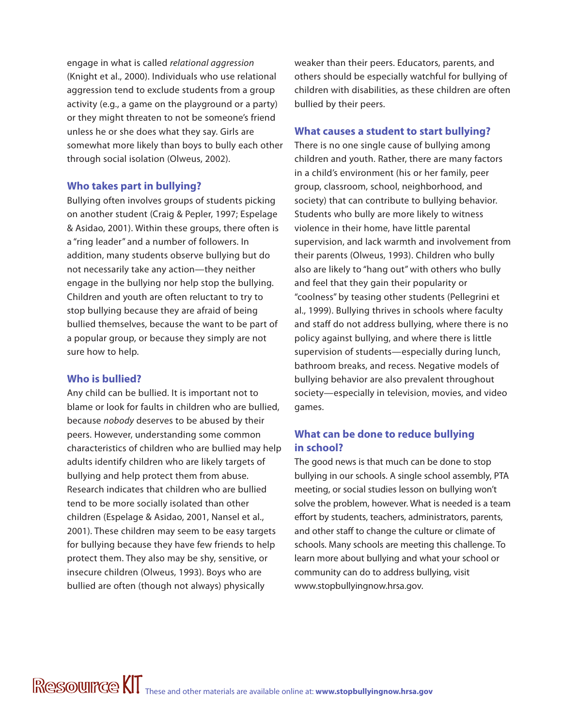engage in what is called relational aggression (Knight et al., 2000). Individuals who use relational aggression tend to exclude students from a group activity (e.g., a game on the playground or a party) or they might threaten to not be someone's friend unless he or she does what they say. Girls are somewhat more likely than boys to bully each other through social isolation (Olweus, 2002).

#### **Who takes part in bullying?**

Bullying often involves groups of students picking on another student (Craig & Pepler, 1997; Espelage & Asidao, 2001). Within these groups, there often is a "ring leader" and a number of followers. In addition, many students observe bullying but do not necessarily take any action—they neither engage in the bullying nor help stop the bullying. Children and youth are often reluctant to try to stop bullying because they are afraid of being bullied themselves, because the want to be part of a popular group, or because they simply are not sure how to help.

#### **Who is bullied?**

Any child can be bullied. It is important not to blame or look for faults in children who are bullied, because nobody deserves to be abused by their peers. However, understanding some common characteristics of children who are bullied may help adults identify children who are likely targets of bullying and help protect them from abuse. Research indicates that children who are bullied tend to be more socially isolated than other children (Espelage & Asidao, 2001, Nansel et al., 2001). These children may seem to be easy targets for bullying because they have few friends to help protect them. They also may be shy, sensitive, or insecure children (Olweus, 1993). Boys who are bullied are often (though not always) physically

weaker than their peers. Educators, parents, and others should be especially watchful for bullying of children with disabilities, as these children are often bullied by their peers.

## **What causes a student to start bullying?**

There is no one single cause of bullying among children and youth. Rather, there are many factors in a child's environment (his or her family, peer group, classroom, school, neighborhood, and society) that can contribute to bullying behavior. Students who bully are more likely to witness violence in their home, have little parental supervision, and lack warmth and involvement from their parents (Olweus, 1993). Children who bully also are likely to "hang out" with others who bully and feel that they gain their popularity or "coolness" by teasing other students (Pellegrini et al., 1999). Bullying thrives in schools where faculty and staff do not address bullying, where there is no policy against bullying, and where there is little supervision of students—especially during lunch, bathroom breaks, and recess. Negative models of bullying behavior are also prevalent throughout society—especially in television, movies, and video games.

# **What can be done to reduce bullying in school?**

The good news is that much can be done to stop bullying in our schools. A single school assembly, PTA meeting, or social studies lesson on bullying won't solve the problem, however. What is needed is a team effort by students, teachers, administrators, parents, and other staff to change the culture or climate of schools. Many schools are meeting this challenge. To learn more about bullying and what your school or community can do to address bullying, visit www.stopbullyingnow.hrsa.gov.